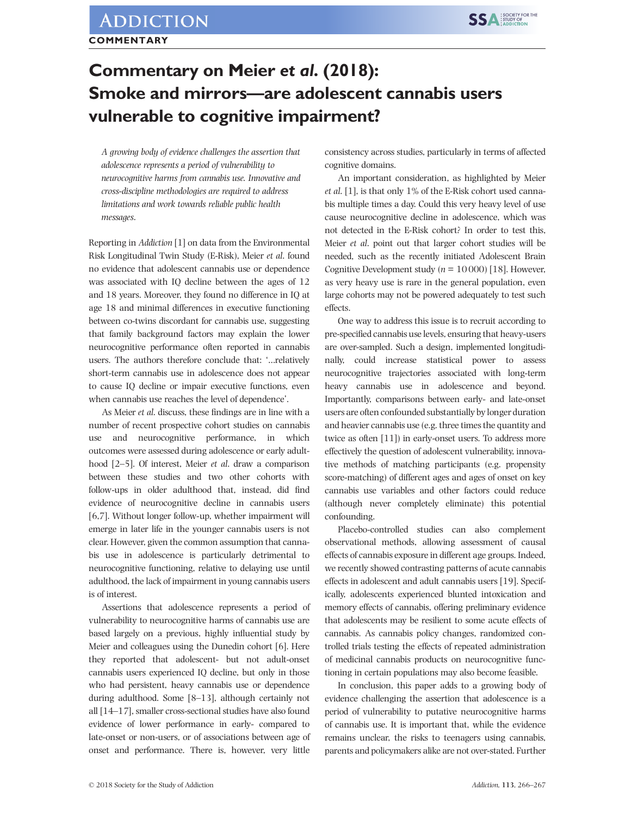## Commentary on Meier et al. (2018): Smoke and mirrors—are adolescent cannabis users vulnerable to cognitive impairment?

A growing body of evidence challenges the assertion that adolescence represents a period of vulnerability to neurocognitive harms from cannabis use. Innovative and cross-discipline methodologies are required to address limitations and work towards reliable public health messages.

Reporting in Addiction [1] on data from the Environmental Risk Longitudinal Twin Study (E-Risk), Meier et al. found no evidence that adolescent cannabis use or dependence was associated with IQ decline between the ages of 12 and 18 years. Moreover, they found no difference in IQ at age 18 and minimal differences in executive functioning between co-twins discordant for cannabis use, suggesting that family background factors may explain the lower neurocognitive performance often reported in cannabis users. The authors therefore conclude that: '…relatively short-term cannabis use in adolescence does not appear to cause IQ decline or impair executive functions, even when cannabis use reaches the level of dependence'.

As Meier et al. discuss, these findings are in line with a number of recent prospective cohort studies on cannabis use and neurocognitive performance, in which outcomes were assessed during adolescence or early adulthood [2–5]. Of interest, Meier *et al.* draw a comparison between these studies and two other cohorts with follow-ups in older adulthood that, instead, did find evidence of neurocognitive decline in cannabis users [6,7]. Without longer follow-up, whether impairment will emerge in later life in the younger cannabis users is not clear. However, given the common assumption that cannabis use in adolescence is particularly detrimental to neurocognitive functioning, relative to delaying use until adulthood, the lack of impairment in young cannabis users is of interest.

Assertions that adolescence represents a period of vulnerability to neurocognitive harms of cannabis use are based largely on a previous, highly influential study by Meier and colleagues using the Dunedin cohort [6]. Here they reported that adolescent- but not adult-onset cannabis users experienced IQ decline, but only in those who had persistent, heavy cannabis use or dependence during adulthood. Some [8–13], although certainly not all [14–17], smaller cross-sectional studies have also found evidence of lower performance in early- compared to late-onset or non-users, or of associations between age of onset and performance. There is, however, very little

consistency across studies, particularly in terms of affected cognitive domains.

An important consideration, as highlighted by Meier et al. [1], is that only 1% of the E-Risk cohort used cannabis multiple times a day. Could this very heavy level of use cause neurocognitive decline in adolescence, which was not detected in the E-Risk cohort? In order to test this, Meier et al. point out that larger cohort studies will be needed, such as the recently initiated Adolescent Brain Cognitive Development study ( $n = 10000$ ) [18]. However, as very heavy use is rare in the general population, even large cohorts may not be powered adequately to test such effects.

One way to address this issue is to recruit according to pre-specified cannabis use levels, ensuring that heavy-users are over-sampled. Such a design, implemented longitudinally, could increase statistical power to assess neurocognitive trajectories associated with long-term heavy cannabis use in adolescence and beyond. Importantly, comparisons between early- and late-onset users are often confounded substantially by longer duration and heavier cannabis use (e.g. three times the quantity and twice as often [11]) in early-onset users. To address more effectively the question of adolescent vulnerability, innovative methods of matching participants (e.g. propensity score-matching) of different ages and ages of onset on key cannabis use variables and other factors could reduce (although never completely eliminate) this potential confounding.

Placebo-controlled studies can also complement observational methods, allowing assessment of causal effects of cannabis exposure in different age groups. Indeed, we recently showed contrasting patterns of acute cannabis effects in adolescent and adult cannabis users [19]. Specifically, adolescents experienced blunted intoxication and memory effects of cannabis, offering preliminary evidence that adolescents may be resilient to some acute effects of cannabis. As cannabis policy changes, randomized controlled trials testing the effects of repeated administration of medicinal cannabis products on neurocognitive functioning in certain populations may also become feasible.

In conclusion, this paper adds to a growing body of evidence challenging the assertion that adolescence is a period of vulnerability to putative neurocognitive harms of cannabis use. It is important that, while the evidence remains unclear, the risks to teenagers using cannabis, parents and policymakers alike are not over-stated. Further